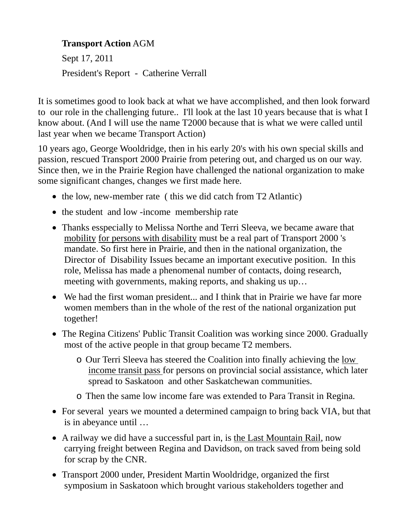## **Transport Action** AGM

Sept 17, 2011 President's Report - Catherine Verrall

It is sometimes good to look back at what we have accomplished, and then look forward to our role in the challenging future.. I'll look at the last 10 years because that is what I know about. (And I will use the name T2000 because that is what we were called until last year when we became Transport Action)

10 years ago, George Wooldridge, then in his early 20's with his own special skills and passion, rescued Transport 2000 Prairie from petering out, and charged us on our way. Since then, we in the Prairie Region have challenged the national organization to make some significant changes, changes we first made here.

- the low, new-member rate (this we did catch from T2 Atlantic)
- the student and low -income membership rate
- Thanks esspecially to Melissa Northe and Terri Sleeva, we became aware that mobility for persons with disability must be a real part of Transport 2000 's mandate. So first here in Prairie, and then in the national organization, the Director of Disability Issues became an important executive position. In this role, Melissa has made a phenomenal number of contacts, doing research, meeting with governments, making reports, and shaking us up…
- We had the first woman president... and I think that in Prairie we have far more women members than in the whole of the rest of the national organization put together!
- The Regina Citizens' Public Transit Coalition was working since 2000. Gradually most of the active people in that group became T2 members.
	- o Our Terri Sleeva has steered the Coalition into finally achieving the low income transit pass for persons on provincial social assistance, which later spread to Saskatoon and other Saskatchewan communities.
	- o Then the same low income fare was extended to Para Transit in Regina.
- For several years we mounted a determined campaign to bring back VIA, but that is in abeyance until …
- A railway we did have a successful part in, is the Last Mountain Rail, now carrying freight between Regina and Davidson, on track saved from being sold for scrap by the CNR.
- Transport 2000 under, President Martin Wooldridge, organized the first symposium in Saskatoon which brought various stakeholders together and